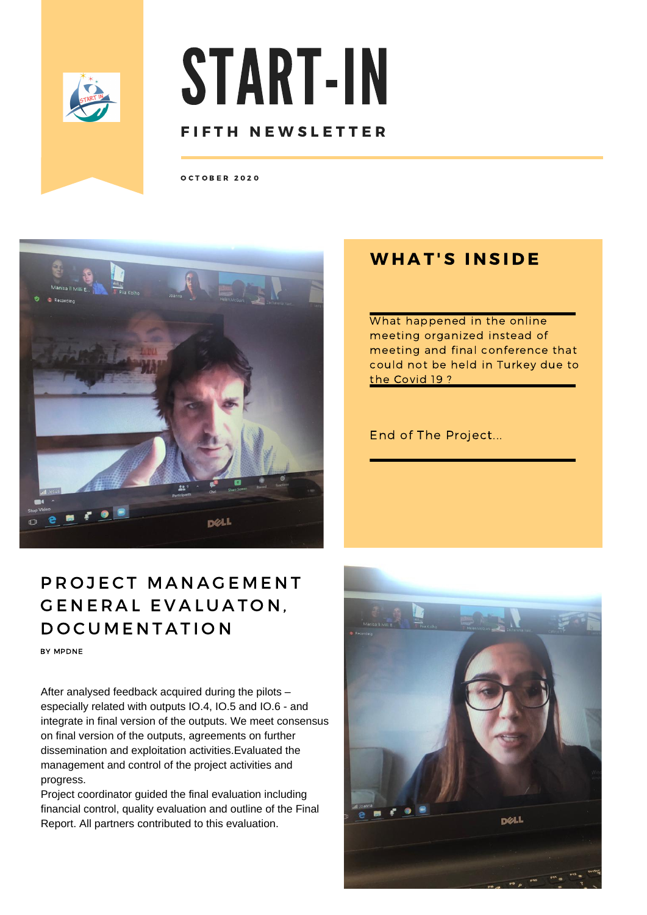

# START-IN FIFTH NEWSLETTER

O C T O B E R 2 0 2 0



# PROJECT MANAGEMENT GENERAL EVALUATON, D O C U M E N T A T I O N

BY MPDNE

After analysed feedback acquired during the pilots – especially related with outputs IO.4, IO.5 and IO.6 - and integrate in final version of the outputs. We meet consensus on final version of the outputs, agreements on further dissemination and exploitation activities.Evaluated the management and control of the project activities and progress.

Project coordinator guided the final evaluation including financial control, quality evaluation and outline of the Final Report. All partners contributed to this evaluation.

### **WHAT'S INSIDE**

What happened in the online meeting organized instead of meeting and final conference that could not be held in Turkey due to the Covid 19 ?

#### End of The Project...